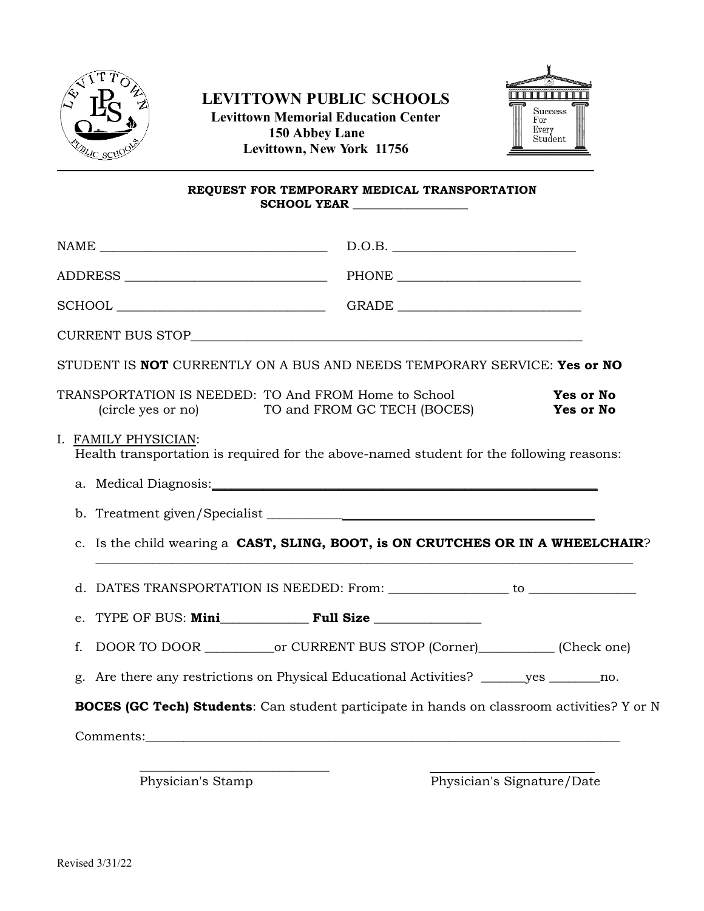

## **LEVITTOWN PUBLIC SCHOOLS Levittown Memorial Education Center**



**150 Abbey Lane Levittown, New York 11756**

## **REQUEST FOR TEMPORARY MEDICAL TRANSPORTATION SCHOOL YEAR \_\_\_\_\_\_\_\_\_\_\_\_\_\_\_\_\_\_\_\_**

|                                                                                                                  | D.O.B.                      |                            |
|------------------------------------------------------------------------------------------------------------------|-----------------------------|----------------------------|
|                                                                                                                  |                             |                            |
|                                                                                                                  |                             |                            |
|                                                                                                                  |                             |                            |
| STUDENT IS NOT CURRENTLY ON A BUS AND NEEDS TEMPORARY SERVICE: Yes or NO                                         |                             |                            |
| TRANSPORTATION IS NEEDED: TO And FROM Home to School<br>(circle yes or no)                                       | TO and FROM GC TECH (BOCES) | Yes or No<br>Yes or No     |
| I. FAMILY PHYSICIAN:<br>Health transportation is required for the above-named student for the following reasons: |                             |                            |
|                                                                                                                  |                             |                            |
|                                                                                                                  |                             |                            |
| c. Is the child wearing a CAST, SLING, BOOT, is ON CRUTCHES OR IN A WHEELCHAIR?                                  |                             |                            |
|                                                                                                                  |                             |                            |
|                                                                                                                  |                             |                            |
| f.                                                                                                               |                             |                            |
| g. Are there any restrictions on Physical Educational Activities? ______yes _______no.                           |                             |                            |
| <b>BOCES (GC Tech) Students:</b> Can student participate in hands on classroom activities? Y or N                |                             |                            |
|                                                                                                                  |                             |                            |
|                                                                                                                  |                             |                            |
| Physician's Stamp                                                                                                |                             | Physician's Signature/Date |